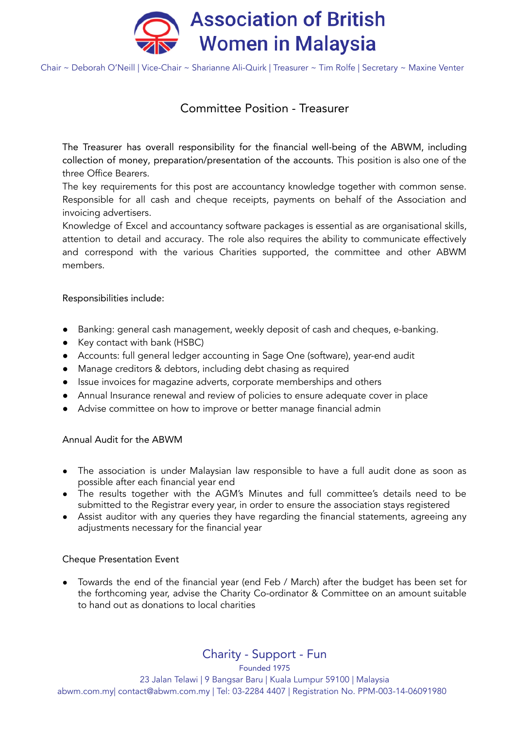

Chair ~ Deborah O'Neill | Vice-Chair ~ Sharianne Ali-Quirk | Treasurer ~ Tim Rolfe | Secretary ~ Maxine Venter

## Committee Position - Treasurer

The Treasurer has overall responsibility for the financial well-being of the ABWM, including collection of money, preparation/presentation of the accounts. This position is also one of the three Office Bearers.

The key requirements for this post are accountancy knowledge together with common sense. Responsible for all cash and cheque receipts, payments on behalf of the Association and invoicing advertisers.

Knowledge of Excel and accountancy software packages is essential as are organisational skills, attention to detail and accuracy. The role also requires the ability to communicate effectively and correspond with the various Charities supported, the committee and other ABWM members.

Responsibilities include:

- Banking: general cash management, weekly deposit of cash and cheques, e-banking.
- Key contact with bank (HSBC)
- Accounts: full general ledger accounting in Sage One (software), year-end audit
- Manage creditors & debtors, including debt chasing as required
- Issue invoices for magazine adverts, corporate memberships and others
- Annual Insurance renewal and review of policies to ensure adequate cover in place
- Advise committee on how to improve or better manage financial admin

Annual Audit for the ABWM

- The association is under Malaysian law responsible to have a full audit done as soon as possible after each financial year end
- The results together with the AGM's Minutes and full committee's details need to be submitted to the Registrar every year, in order to ensure the association stays registered
- Assist auditor with any queries they have regarding the financial statements, agreeing any adjustments necessary for the financial year

#### Cheque Presentation Event

Towards the end of the financial year (end Feb / March) after the budget has been set for the forthcoming year, advise the Charity Co-ordinator & Committee on an amount suitable to hand out as donations to local charities

Charity - Support - Fun

Founded 1975 23 Jalan Telawi | 9 Bangsar Baru | Kuala Lumpur 59100 | Malaysia abwm.com.my| contact@abwm.com.my | Tel: 03-2284 4407 | Registration No. PPM-003-14-06091980